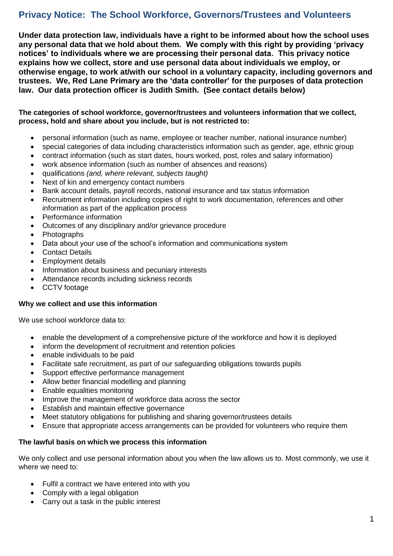# **Privacy Notice: The School Workforce, Governors/Trustees and Volunteers**

**Under data protection law, individuals have a right to be informed about how the school uses any personal data that we hold about them. We comply with this right by providing 'privacy notices' to individuals where we are processing their personal data. This privacy notice explains how we collect, store and use personal data about individuals we employ, or otherwise engage, to work at/with our school in a voluntary capacity, including governors and trustees. We, Red Lane Primary are the 'data controller' for the purposes of data protection law. Our data protection officer is Judith Smith. (See contact details below)**

## **The categories of school workforce, governor/trustees and volunteers information that we collect, process, hold and share about you include, but is not restricted to:**

- personal information (such as name, employee or teacher number, national insurance number)
- special categories of data including characteristics information such as gender, age, ethnic group
- contract information (such as start dates, hours worked, post, roles and salary information)
- work absence information (such as number of absences and reasons)
- qualifications *(and, where relevant, subjects taught)*
- Next of kin and emergency contact numbers
- Bank account details, payroll records, national insurance and tax status information
- Recruitment information including copies of right to work documentation, references and other information as part of the application process
- Performance information
- Outcomes of any disciplinary and/or grievance procedure
- Photographs
- Data about your use of the school's information and communications system
- Contact Details
- Employment details
- Information about business and pecuniary interests
- Attendance records including sickness records
- CCTV footage

#### **Why we collect and use this information**

We use school workforce data to:

- enable the development of a comprehensive picture of the workforce and how it is deployed
- inform the development of recruitment and retention policies
- enable individuals to be paid
- Facilitate safe recruitment, as part of our safeguarding obligations towards pupils
- Support effective performance management
- Allow better financial modelling and planning
- Enable equalities monitoring
- Improve the management of workforce data across the sector
- **Establish and maintain effective governance**
- Meet statutory obligations for publishing and sharing governor/trustees details
- Ensure that appropriate access arrangements can be provided for volunteers who require them

#### **The lawful basis on which we process this information**

We only collect and use personal information about you when the law allows us to. Most commonly, we use it where we need to:

- Fulfil a contract we have entered into with you
- Comply with a legal obligation
- Carry out a task in the public interest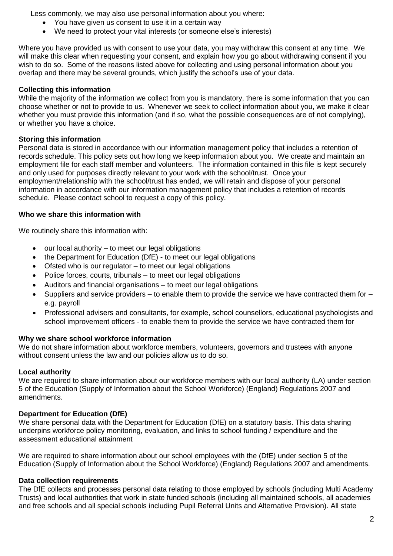Less commonly, we may also use personal information about you where:

- You have given us consent to use it in a certain way
- We need to protect your vital interests (or someone else's interests)

Where you have provided us with consent to use your data, you may withdraw this consent at any time. We will make this clear when requesting your consent, and explain how you go about withdrawing consent if you wish to do so. Some of the reasons listed above for collecting and using personal information about you overlap and there may be several grounds, which justify the school's use of your data.

## **Collecting this information**

While the majority of the information we collect from you is mandatory, there is some information that you can choose whether or not to provide to us. Whenever we seek to collect information about you, we make it clear whether you must provide this information (and if so, what the possible consequences are of not complying), or whether you have a choice.

## **Storing this information**

Personal data is stored in accordance with our information management policy that includes a retention of records schedule. This policy sets out how long we keep information about you. We create and maintain an employment file for each staff member and volunteers. The information contained in this file is kept securely and only used for purposes directly relevant to your work with the school/trust. Once your employment/relationship with the school/trust has ended, we will retain and dispose of your personal information in accordance with our information management policy that includes a retention of records schedule. Please contact school to request a copy of this policy.

## **Who we share this information with**

We routinely share this information with:

- our local authority to meet our legal obligations
- the Department for Education (DfE) to meet our legal obligations
- Ofsted who is our regulator to meet our legal obligations
- Police forces, courts, tribunals to meet our legal obligations
- Auditors and financial organisations to meet our legal obligations
- $\bullet$  Suppliers and service providers to enable them to provide the service we have contracted them for e.g. payroll
- Professional advisers and consultants, for example, school counsellors, educational psychologists and school improvement officers - to enable them to provide the service we have contracted them for

# **Why we share school workforce information**

We do not share information about workforce members, volunteers, governors and trustees with anyone without consent unless the law and our policies allow us to do so.

# **Local authority**

We are required to share information about our workforce members with our local authority (LA) under section 5 of the Education (Supply of Information about the School Workforce) (England) Regulations 2007 and amendments.

# **Department for Education (DfE)**

We share personal data with the Department for Education (DfE) on a statutory basis. This data sharing underpins workforce policy monitoring, evaluation, and links to school funding / expenditure and the assessment educational attainment

We are required to share information about our school employees with the (DfE) under section 5 of the Education (Supply of Information about the School Workforce) (England) Regulations 2007 and amendments.

# **Data collection requirements**

The DfE collects and processes personal data relating to those employed by schools (including Multi Academy Trusts) and local authorities that work in state funded schools (including all maintained schools, all academies and free schools and all special schools including Pupil Referral Units and Alternative Provision). All state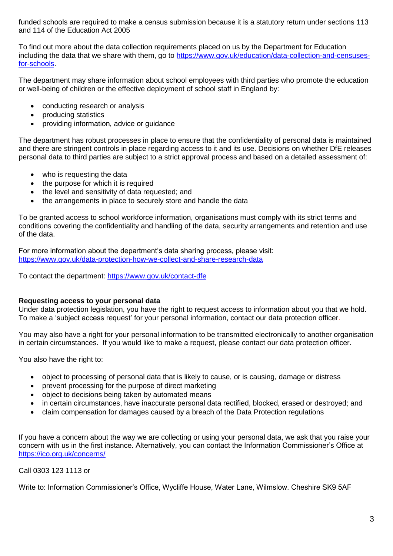funded schools are required to make a census submission because it is a statutory return under sections 113 and 114 of the Education Act 2005

To find out more about the data collection requirements placed on us by the Department for Education including the data that we share with them, go to [https://www.gov.uk/education/data-collection-and-censuses](https://www.gov.uk/education/data-collection-and-censuses-for-schools)[for-schools.](https://www.gov.uk/education/data-collection-and-censuses-for-schools)

The department may share information about school employees with third parties who promote the education or well-being of children or the effective deployment of school staff in England by:

- conducting research or analysis
- producing statistics
- providing information, advice or guidance

The department has robust processes in place to ensure that the confidentiality of personal data is maintained and there are stringent controls in place regarding access to it and its use. Decisions on whether DfE releases personal data to third parties are subject to a strict approval process and based on a detailed assessment of:

- who is requesting the data
- the purpose for which it is required
- the level and sensitivity of data requested; and
- the arrangements in place to securely store and handle the data

To be granted access to school workforce information, organisations must comply with its strict terms and conditions covering the confidentiality and handling of the data, security arrangements and retention and use of the data.

For more information about the department's data sharing process, please visit: <https://www.gov.uk/data-protection-how-we-collect-and-share-research-data>

To contact the department:<https://www.gov.uk/contact-dfe>

#### **Requesting access to your personal data**

Under data protection legislation, you have the right to request access to information about you that we hold. To make a 'subject access request' for your personal information, contact our data protection officer.

You may also have a right for your personal information to be transmitted electronically to another organisation in certain circumstances. If you would like to make a request, please contact our data protection officer.

You also have the right to:

- object to processing of personal data that is likely to cause, or is causing, damage or distress
- prevent processing for the purpose of direct marketing
- object to decisions being taken by automated means
- in certain circumstances, have inaccurate personal data rectified, blocked, erased or destroyed; and
- claim compensation for damages caused by a breach of the Data Protection regulations

If you have a concern about the way we are collecting or using your personal data, we ask that you raise your concern with us in the first instance. Alternatively, you can contact the Information Commissioner's Office at <https://ico.org.uk/concerns/>

Call 0303 123 1113 or

Write to: Information Commissioner's Office, Wycliffe House, Water Lane, Wilmslow. Cheshire SK9 5AF